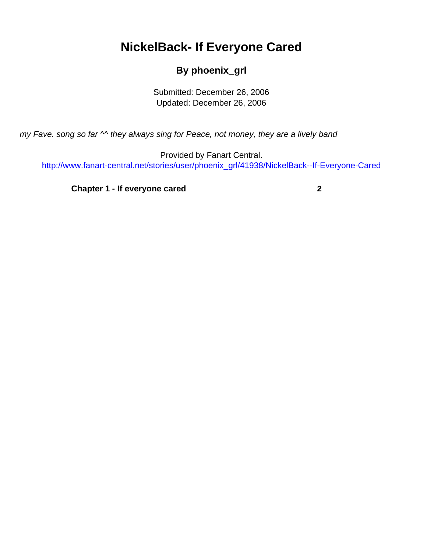# <span id="page-0-0"></span>**NickelBack- If Everyone Cared**

### **By phoenix\_grl**

Submitted: December 26, 2006 Updated: December 26, 2006

my Fave. song so far  $\sim$  they always sing for Peace, not money, they are a lively band

Provided by Fanart Central. [http://www.fanart-central.net/stories/user/phoenix\\_grl/41938/NickelBack--If-Everyone-Cared](#page-0-0)

**[Chapter 1 - If everyone cared](#page-1-0)** [2](#page-1-0)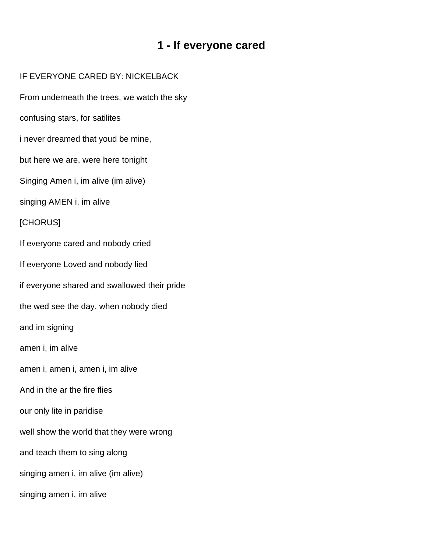## **1 - If everyone cared**

#### <span id="page-1-0"></span>IF EVERYONE CARED BY: NICKELBACK

From underneath the trees, we watch the sky

confusing stars, for satilites

i never dreamed that youd be mine,

but here we are, were here tonight

Singing Amen i, im alive (im alive)

singing AMEN i, im alive

#### [CHORUS]

If everyone cared and nobody cried

If everyone Loved and nobody lied

if everyone shared and swallowed their pride

the wed see the day, when nobody died

and im signing

amen i, im alive

amen i, amen i, amen i, im alive

And in the ar the fire flies

our only lite in paridise

well show the world that they were wrong

and teach them to sing along

singing amen i, im alive (im alive)

singing amen i, im alive